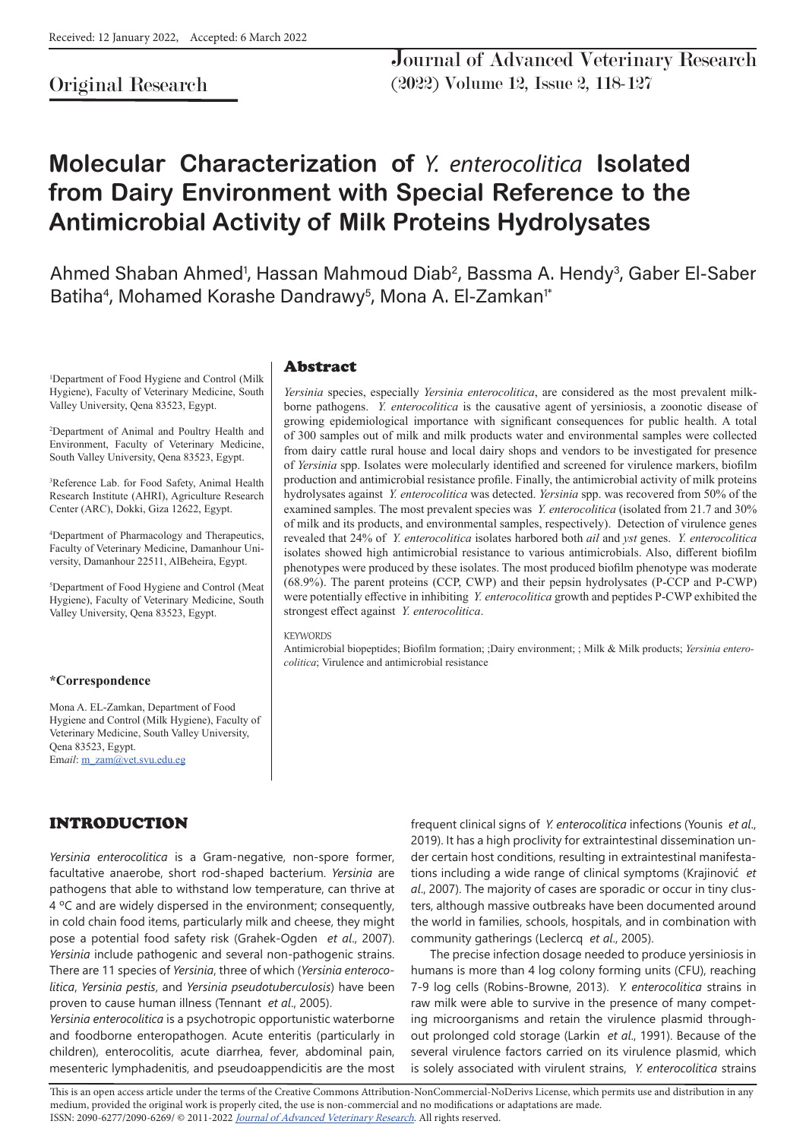# Original Research

# **Molecular Characterization of** *Y. enterocolitica* **Isolated from Dairy Environment with Special Reference to the Antimicrobial Activity of Milk Proteins Hydrolysates**

Ahmed Shaban Ahmed<sup>1</sup>, Hassan Mahmoud Diab<sup>2</sup>, Bassma A. Hendy<sup>3</sup>, Gaber El-Saber Batiha<sup>4</sup>, Mohamed Korashe Dandrawy<sup>5</sup>, Mona A. El-Zamkan<sup>1</sup>\*

1 Department of Food Hygiene and Control (Milk Hygiene), Faculty of Veterinary Medicine, South Valley University, Qena 83523, Egypt.

2 Department of Animal and Poultry Health and Environment, Faculty of Veterinary Medicine, South Valley University, Qena 83523, Egypt.

3 Reference Lab. for Food Safety, Animal Health Research Institute (AHRI), Agriculture Research Center (ARC), Dokki, Giza 12622, Egypt.

4 Department of Pharmacology and Therapeutics, Faculty of Veterinary Medicine, Damanhour University, Damanhour 22511, AlBeheira, Egypt.

5 Department of Food Hygiene and Control (Meat Hygiene), Faculty of Veterinary Medicine, South Valley University, Qena 83523, Egypt.

### **\*Correspondence**

Mona A. EL-Zamkan, Department of Food Hygiene and Control (Milk Hygiene), Faculty of Veterinary Medicine, South Valley University, Qena 83523, Egypt. Em*ail*: m\_zam@vet.svu.edu.eg

### Abstract

*Yersinia* species, especially *Yersinia enterocolitica*, are considered as the most prevalent milkborne pathogens. *Y. enterocolitica* is the causative agent of yersiniosis, a zoonotic disease of growing epidemiological importance with significant consequences for public health. A total of 300 samples out of milk and milk products water and environmental samples were collected from dairy cattle rural house and local dairy shops and vendors to be investigated for presence of *Yersinia* spp. Isolates were molecularly identified and screened for virulence markers, biofilm production and antimicrobial resistance profile. Finally, the antimicrobial activity of milk proteins hydrolysates against *Y. enterocolitica* was detected. *Yersinia* spp. was recovered from 50% of the examined samples. The most prevalent species was *Y. enterocolitica* (isolated from 21.7 and 30% of milk and its products, and environmental samples, respectively). Detection of virulence genes revealed that 24% of *Y. enterocolitica* isolates harbored both *ail* and *yst* genes. *Y. enterocolitica* isolates showed high antimicrobial resistance to various antimicrobials. Also, different biofilm phenotypes were produced by these isolates. The most produced biofilm phenotype was moderate (68.9%). The parent proteins (CCP, CWP) and their pepsin hydrolysates (P-CCP and P-CWP) were potentially effective in inhibiting *Y. enterocolitica* growth and peptides P-CWP exhibited the strongest effect against *Y. enterocolitica*.

#### **KEYWORDS**

Antimicrobial biopeptides; Biofilm formation; ;Dairy environment; ; Milk & Milk products; *Yersinia enterocolitica*; Virulence and antimicrobial resistance

# INTRODUCTION

*Yersinia enterocolitica* is a Gram-negative, non-spore former, facultative anaerobe, short rod-shaped bacterium. *Yersinia* are pathogens that able to withstand low temperature, can thrive at 4 °C and are widely dispersed in the environment; consequently, in cold chain food items, particularly milk and cheese, they might pose a potential food safety risk (Grahek-Ogden *et al*., 2007). *Yersinia* include pathogenic and several non-pathogenic strains. There are 11 species of *Yersinia*, three of which (*Yersinia enterocolitica*, *Yersinia pestis*, and *Yersinia pseudotuberculosis*) have been proven to cause human illness (Tennant *et al*., 2005).

*Yersinia enterocolitica* is a psychotropic opportunistic waterborne and foodborne enteropathogen. Acute enteritis (particularly in children), enterocolitis, acute diarrhea, fever, abdominal pain, mesenteric lymphadenitis, and pseudoappendicitis are the most frequent clinical signs of *Y. enterocolitica* infections (Younis *et al*., 2019). It has a high proclivity for extraintestinal dissemination under certain host conditions, resulting in extraintestinal manifestations including a wide range of clinical symptoms (Krajinović *et al*., 2007). The majority of cases are sporadic or occur in tiny clusters, although massive outbreaks have been documented around the world in families, schools, hospitals, and in combination with community gatherings (Leclercq *et al*., 2005).

The precise infection dosage needed to produce yersiniosis in humans is more than 4 log colony forming units (CFU), reaching 7-9 log cells (Robins-Browne, 2013). *Y. enterocolitica* strains in raw milk were able to survive in the presence of many competing microorganisms and retain the virulence plasmid throughout prolonged cold storage (Larkin *et al*., 1991). Because of the several virulence factors carried on its virulence plasmid, which is solely associated with virulent strains, *Y. enterocolitica* strains

This is an open access article under the terms of the Creative Commons Attribution-NonCommercial-NoDerivs License, which permits use and distribution in any medium, provided the original work is properly cited, the use is non-commercial and no modifications or adaptations are made. ISSN: 2090-6277/2090-6269/ © 2011-2022 Journal of Advanced Veterinary Research. All rights reserved.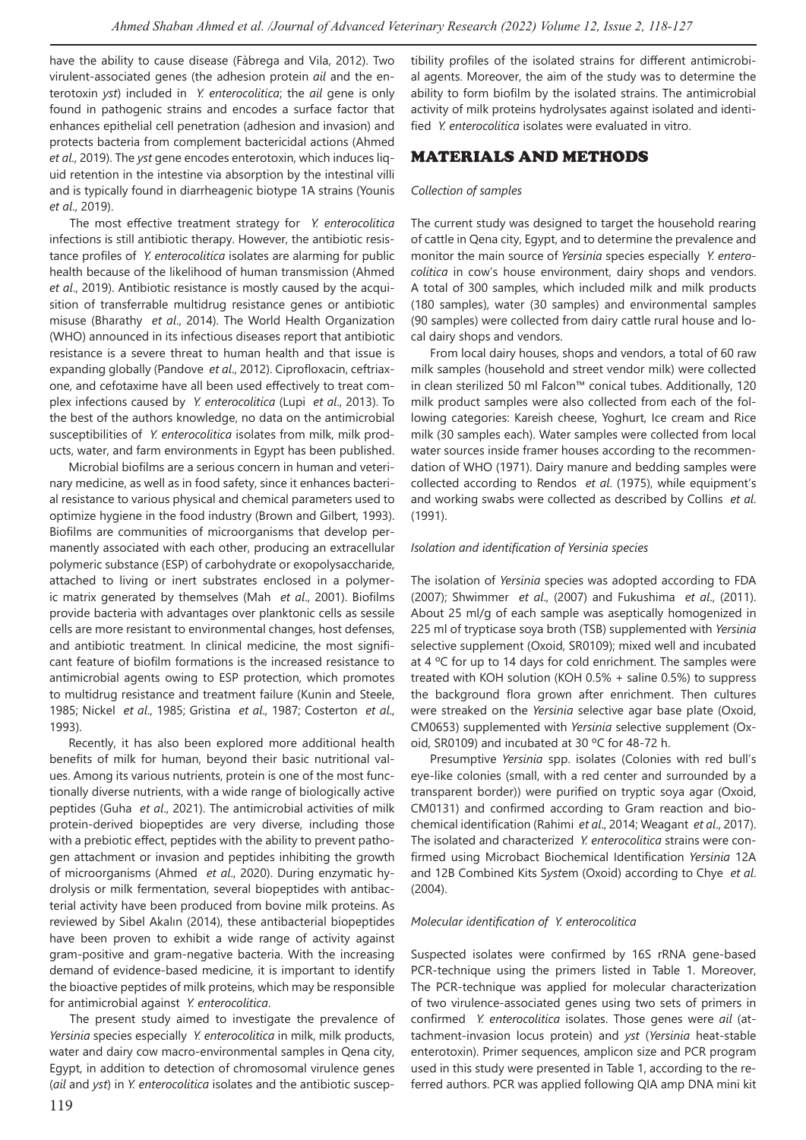have the ability to cause disease (Fàbrega and Vila, 2012). Two virulent-associated genes (the adhesion protein *ail* and the enterotoxin *yst*) included in *Y. enterocolitica*; the *ail* gene is only found in pathogenic strains and encodes a surface factor that enhances epithelial cell penetration (adhesion and invasion) and protects bacteria from complement bactericidal actions (Ahmed *et al*., 2019). The *yst* gene encodes enterotoxin, which induces liquid retention in the intestine via absorption by the intestinal villi and is typically found in diarrheagenic biotype 1A strains (Younis *et al*., 2019).

The most effective treatment strategy for *Y. enterocolitica* infections is still antibiotic therapy. However, the antibiotic resistance profiles of *Y. enterocolitica* isolates are alarming for public health because of the likelihood of human transmission (Ahmed *et al*., 2019). Antibiotic resistance is mostly caused by the acquisition of transferrable multidrug resistance genes or antibiotic misuse (Bharathy *et al*., 2014). The World Health Organization (WHO) announced in its infectious diseases report that antibiotic resistance is a severe threat to human health and that issue is expanding globally (Pandove *et al*., 2012). Ciprofloxacin, ceftriaxone, and cefotaxime have all been used effectively to treat complex infections caused by *Y. enterocolitica* (Lupi *et al*., 2013). To the best of the authors knowledge, no data on the antimicrobial susceptibilities of *Y. enterocolitica* isolates from milk, milk products, water, and farm environments in Egypt has been published.

Microbial biofilms are a serious concern in human and veterinary medicine, as well as in food safety, since it enhances bacterial resistance to various physical and chemical parameters used to optimize hygiene in the food industry (Brown and Gilbert, 1993). Biofilms are communities of microorganisms that develop permanently associated with each other, producing an extracellular polymeric substance (ESP) of carbohydrate or exopolysaccharide, attached to living or inert substrates enclosed in a polymeric matrix generated by themselves (Mah *et al*., 2001). Biofilms provide bacteria with advantages over planktonic cells as sessile cells are more resistant to environmental changes, host defenses, and antibiotic treatment. In clinical medicine, the most significant feature of biofilm formations is the increased resistance to antimicrobial agents owing to ESP protection, which promotes to multidrug resistance and treatment failure (Kunin and Steele, 1985; Nickel *et al*., 1985; Gristina *et al*., 1987; Costerton *et al*., 1993).

Recently, it has also been explored more additional health benefits of milk for human, beyond their basic nutritional values. Among its various nutrients, protein is one of the most functionally diverse nutrients, with a wide range of biologically active peptides (Guha *et al*., 2021). The antimicrobial activities of milk protein-derived biopeptides are very diverse, including those with a prebiotic effect, peptides with the ability to prevent pathogen attachment or invasion and peptides inhibiting the growth of microorganisms (Ahmed *et al*., 2020). During enzymatic hydrolysis or milk fermentation, several biopeptides with antibacterial activity have been produced from bovine milk proteins. As reviewed by Sibel Akalın (2014), these antibacterial biopeptides have been proven to exhibit a wide range of activity against gram-positive and gram-negative bacteria. With the increasing demand of evidence-based medicine, it is important to identify the bioactive peptides of milk proteins, which may be responsible for antimicrobial against *Y. enterocolitica*.

The present study aimed to investigate the prevalence of *Yersinia* species especially *Y. enterocolitica* in milk, milk products, water and dairy cow macro-environmental samples in Qena city, Egypt, in addition to detection of chromosomal virulence genes (*ail* and *yst*) in *Y. enterocolitica* isolates and the antibiotic susceptibility profiles of the isolated strains for different antimicrobial agents. Moreover, the aim of the study was to determine the ability to form biofilm by the isolated strains. The antimicrobial activity of milk proteins hydrolysates against isolated and identified *Y. enterocolitica* isolates were evaluated in vitro.

# MATERIALS AND METHODS

#### *Collection of samples*

The current study was designed to target the household rearing of cattle in Qena city, Egypt, and to determine the prevalence and monitor the main source of *Yersinia* species especially *Y. enterocolitica* in cow's house environment, dairy shops and vendors. A total of 300 samples, which included milk and milk products (180 samples), water (30 samples) and environmental samples (90 samples) were collected from dairy cattle rural house and local dairy shops and vendors.

From local dairy houses, shops and vendors, a total of 60 raw milk samples (household and street vendor milk) were collected in clean sterilized 50 ml Falcon™ conical tubes. Additionally, 120 milk product samples were also collected from each of the following categories: Kareish cheese, Yoghurt, Ice cream and Rice milk (30 samples each). Water samples were collected from local water sources inside framer houses according to the recommendation of WHO (1971). Dairy manure and bedding samples were collected according to Rendos *et al*. (1975), while equipment's and working swabs were collected as described by Collins *et al*. (1991).

#### *Isolation and identification of Yersinia species*

The isolation of *Yersinia* species was adopted according to FDA (2007); Shwimmer *et al*., (2007) and Fukushima *et al*., (2011). About 25 ml/g of each sample was aseptically homogenized in 225 ml of trypticase soya broth (TSB) supplemented with *Yersinia* selective supplement (Oxoid, SR0109); mixed well and incubated at 4 °C for up to 14 days for cold enrichment. The samples were treated with KOH solution (KOH 0.5% + saline 0.5%) to suppress the background flora grown after enrichment. Then cultures were streaked on the *Yersinia* selective agar base plate (Oxoid, CM0653) supplemented with *Yersinia* selective supplement (Oxoid, SR0109) and incubated at 30 ºC for 48-72 h.

Presumptive *Yersinia* spp. isolates (Colonies with red bull's eye-like colonies (small, with a red center and surrounded by a transparent border)) were purified on tryptic soya agar (Oxoid, CM0131) and confirmed according to Gram reaction and biochemical identification (Rahimi *et al*., 2014; Weagant *et al*., 2017). The isolated and characterized *Y. enterocolitica* strains were confirmed using Microbact Biochemical Identification *Yersinia* 12A and 12B Combined Kits S*yst*em (Oxoid) according to Chye *et al*. (2004).

#### *Molecular identification of Y. enterocolitica*

Suspected isolates were confirmed by 16S rRNA gene-based PCR-technique using the primers listed in Table 1. Moreover, The PCR-technique was applied for molecular characterization of two virulence-associated genes using two sets of primers in confirmed *Y. enterocolitica* isolates. Those genes were *ail* (attachment-invasion locus protein) and *yst* (*Yersinia* heat-stable enterotoxin). Primer sequences, amplicon size and PCR program used in this study were presented in Table 1, according to the referred authors. PCR was applied following QIA amp DNA mini kit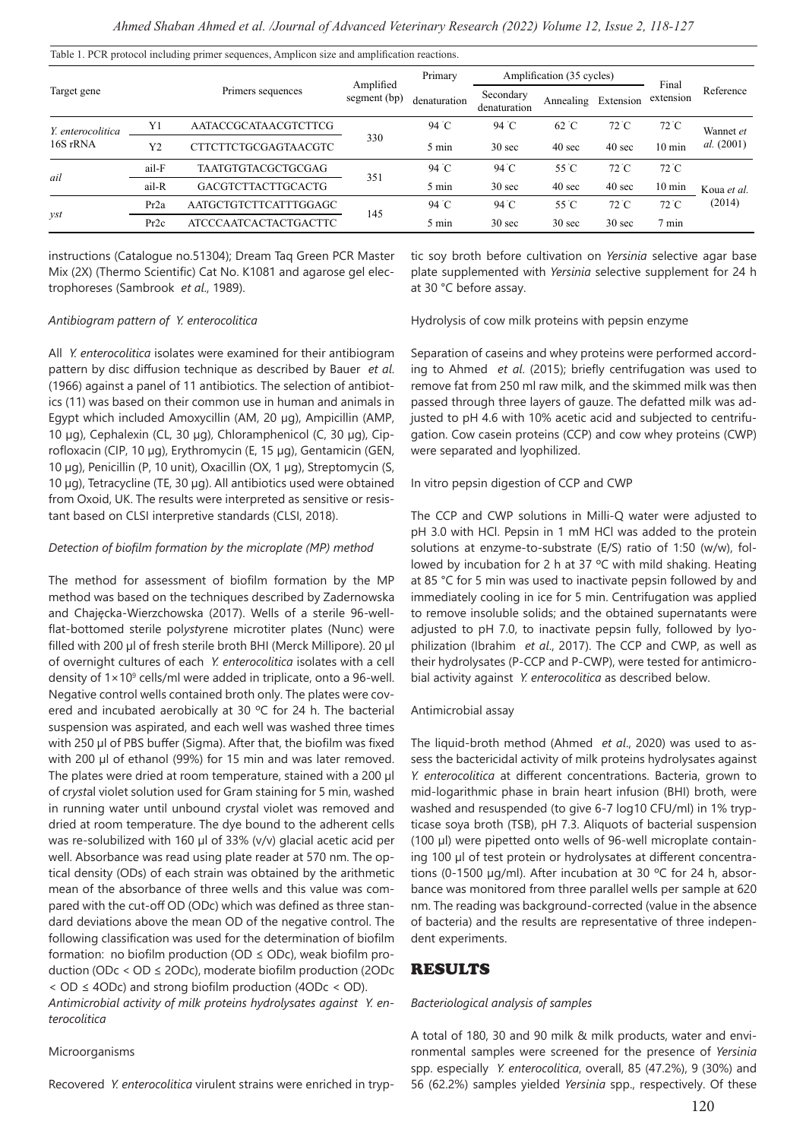|                   |                  |                              |                           | Primary      |                           | Amplification (35 cycles) |                   |                    |             |
|-------------------|------------------|------------------------------|---------------------------|--------------|---------------------------|---------------------------|-------------------|--------------------|-------------|
| Target gene       |                  | Primers sequences            | Amplified<br>segment (bp) | denaturation | Secondary<br>denaturation | Annealing                 | Extension         | Final<br>extension | Reference   |
| Y. enterocolitica | Y1               | <b>AATACCGCATAACGTCTTCG</b>  |                           | 94 °C        | 94 °C                     | $62^{\circ}$ C            | $72^{\circ}$ C    | $72^{\circ}$ C     | Wannet et   |
| 16S rRNA          | Y <sub>2</sub>   | <b>CTTCTTCTGCGAGTAACGTC</b>  | 330                       | 5 min        | 30 <sub>sec</sub>         | $40 \text{ sec}$          | $40 \text{ sec}$  | $10 \text{ min}$   | al. (2001)  |
|                   | ail-F            | <b>TAATGTGTACGCTGCGAG</b>    |                           | 94 °C        | 94 °C                     | 55 °C                     | $72^{\circ}$ C    | $72^{\circ}$ C     |             |
| ail               | ail-R            | <b>GACGTCTTACTTGCACTG</b>    | 351                       | 5 min        | 30 <sub>sec</sub>         | $40 \text{ sec}$          | $40 \text{ sec}$  | $10 \text{ min}$   | Koua et al. |
|                   | Pr <sub>2a</sub> | AATGCTGTCTTCATTTGGAGC        | 145                       | 94 °C        | 94 °C                     | 55 °C                     | $72^{\circ}$ C    | $72^{\circ}$ C     | (2014)      |
| yst               | Pr2c             | <b>ATCCCAATCACTACTGACTTC</b> |                           | 5 min        | $30 \text{ sec}$          | $30 \text{ sec}$          | 30 <sub>sec</sub> | $7 \text{ min}$    |             |

Table 1. PCR protocol including primer sequences, Amplicon size and amplification reactions.

instructions (Catalogue no.51304); Dream Taq Green PCR Master Mix (2X) (Thermo Scientific) Cat No. K1081 and agarose gel electrophoreses (Sambrook *et al*., 1989).

#### *Antibiogram pattern of Y. enterocolitica*

All *Y. enterocolitica* isolates were examined for their antibiogram pattern by disc diffusion technique as described by Bauer *et al*. (1966) against a panel of 11 antibiotics. The selection of antibiotics (11) was based on their common use in human and animals in Egypt which included Amoxycillin (AM, 20 µg), Ampicillin (AMP, 10 µg), Cephalexin (CL, 30 µg), Chloramphenicol (C, 30 µg), Ciprofloxacin (CIP, 10 µg), Erythromycin (E, 15 µg), Gentamicin (GEN, 10 µg), Penicillin (P, 10 unit), Oxacillin (OX, 1 µg), Streptomycin (S, 10 µg), Tetracycline (TE, 30 µg). All antibiotics used were obtained from Oxoid, UK. The results were interpreted as sensitive or resistant based on CLSI interpretive standards (CLSI, 2018).

#### *Detection of biofilm formation by the microplate (MP) method*

The method for assessment of biofilm formation by the MP method was based on the techniques described by Zadernowska and Chajęcka-Wierzchowska (2017). Wells of a sterile 96-wellflat-bottomed sterile pol*yst*yrene microtiter plates (Nunc) were filled with 200 ul of fresh sterile broth BHI (Merck Millipore). 20 ul of overnight cultures of each *Y. enterocolitica* isolates with a cell density of 1×10<sup>9</sup> cells/ml were added in triplicate, onto a 96-well. Negative control wells contained broth only. The plates were covered and incubated aerobically at 30 ºC for 24 h. The bacterial suspension was aspirated, and each well was washed three times with 250 µl of PBS buffer (Sigma). After that, the biofilm was fixed with 200 µl of ethanol (99%) for 15 min and was later removed. The plates were dried at room temperature, stained with a 200 µl of cr*yst*al violet solution used for Gram staining for 5 min, washed in running water until unbound cr*yst*al violet was removed and dried at room temperature. The dye bound to the adherent cells was re-solubilized with 160 µl of 33% (v/v) glacial acetic acid per well. Absorbance was read using plate reader at 570 nm. The optical density (ODs) of each strain was obtained by the arithmetic mean of the absorbance of three wells and this value was compared with the cut-off OD (ODc) which was defined as three standard deviations above the mean OD of the negative control. The following classification was used for the determination of biofilm formation: no biofilm production (OD  $\leq$  ODc), weak biofilm production (ODc < OD ≤ 2ODc), moderate biofilm production (2ODc < OD ≤ 4ODc) and strong biofilm production (4ODc < OD). *Antimicrobial activity of milk proteins hydrolysates against Y. enterocolitica*

#### Microorganisms

Recovered *Y. enterocolitica* virulent strains were enriched in tryp-

tic soy broth before cultivation on *Yersinia* selective agar base plate supplemented with *Yersinia* selective supplement for 24 h at 30 °C before assay.

Hydrolysis of cow milk proteins with pepsin enzyme

Separation of caseins and whey proteins were performed according to Ahmed *et al*. (2015); briefly centrifugation was used to remove fat from 250 ml raw milk, and the skimmed milk was then passed through three layers of gauze. The defatted milk was adjusted to pH 4.6 with 10% acetic acid and subjected to centrifugation. Cow casein proteins (CCP) and cow whey proteins (CWP) were separated and lyophilized.

In vitro pepsin digestion of CCP and CWP

The CCP and CWP solutions in Milli-Q water were adjusted to pH 3.0 with HCl. Pepsin in 1 mM HCl was added to the protein solutions at enzyme-to-substrate (E/S) ratio of 1:50 (w/w), followed by incubation for 2 h at 37 ºC with mild shaking. Heating at 85 °C for 5 min was used to inactivate pepsin followed by and immediately cooling in ice for 5 min. Centrifugation was applied to remove insoluble solids; and the obtained supernatants were adjusted to pH 7.0, to inactivate pepsin fully, followed by lyophilization (Ibrahim *et al*., 2017). The CCP and CWP, as well as their hydrolysates (P-CCP and P-CWP), were tested for antimicrobial activity against *Y. enterocolitica* as described below.

#### Antimicrobial assay

The liquid-broth method (Ahmed *et al*., 2020) was used to assess the bactericidal activity of milk proteins hydrolysates against *Y. enterocolitica* at different concentrations. Bacteria, grown to mid-logarithmic phase in brain heart infusion (BHI) broth, were washed and resuspended (to give 6-7 log10 CFU/ml) in 1% trypticase soya broth (TSB), pH 7.3. Aliquots of bacterial suspension (100 µl) were pipetted onto wells of 96-well microplate containing 100 µl of test protein or hydrolysates at different concentrations (0-1500 µg/ml). After incubation at 30 ºC for 24 h, absorbance was monitored from three parallel wells per sample at 620 nm. The reading was background-corrected (value in the absence of bacteria) and the results are representative of three independent experiments.

### RESULTS

#### *Bacteriological analysis of samples*

A total of 180, 30 and 90 milk & milk products, water and environmental samples were screened for the presence of *Yersinia* spp. especially *Y. enterocolitica*, overall, 85 (47.2%), 9 (30%) and 56 (62.2%) samples yielded *Yersinia* spp., respectively. Of these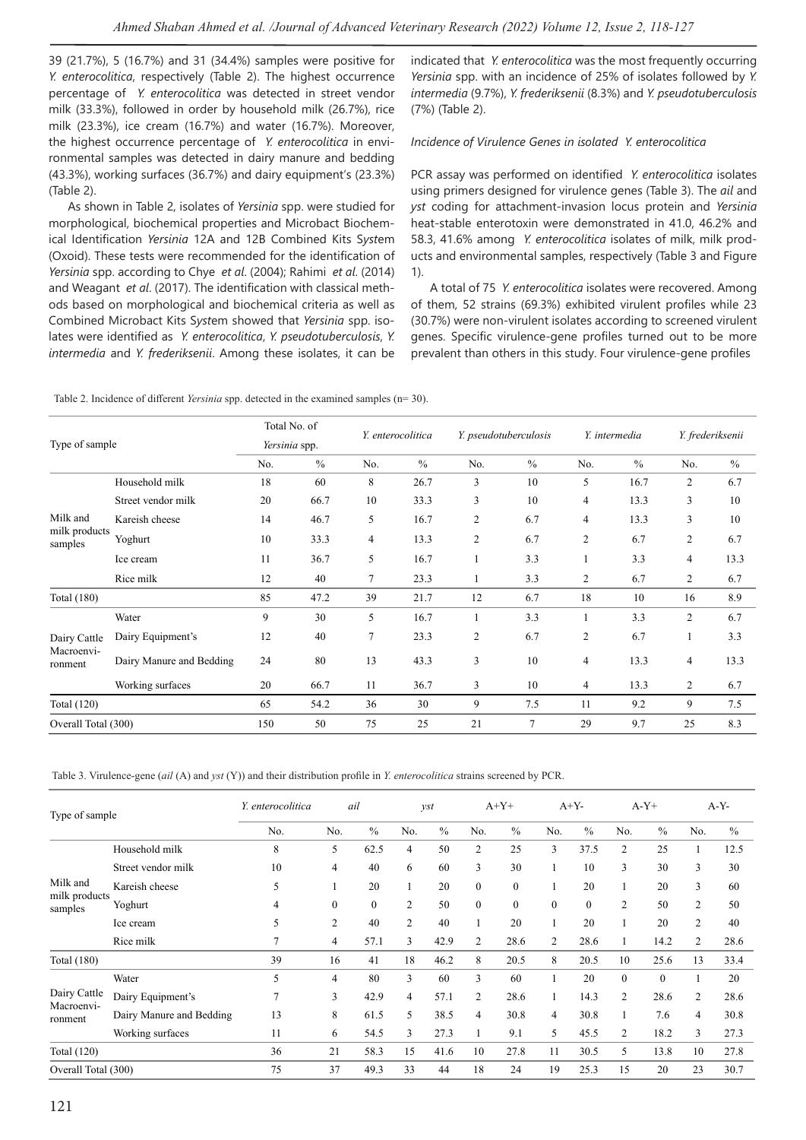39 (21.7%), 5 (16.7%) and 31 (34.4%) samples were positive for *Y. enterocolitica*, respectively (Table 2). The highest occurrence percentage of *Y. enterocolitica* was detected in street vendor milk (33.3%), followed in order by household milk (26.7%), rice milk (23.3%), ice cream (16.7%) and water (16.7%). Moreover, the highest occurrence percentage of *Y. enterocolitica* in environmental samples was detected in dairy manure and bedding (43.3%), working surfaces (36.7%) and dairy equipment's (23.3%) (Table 2).

As shown in Table 2, isolates of *Yersinia* spp. were studied for morphological, biochemical properties and Microbact Biochemical Identification *Yersinia* 12A and 12B Combined Kits S*yst*em (Oxoid). These tests were recommended for the identification of *Yersinia* spp. according to Chye *et al*. (2004); Rahimi *et al*. (2014) and Weagant *et al*. (2017). The identification with classical methods based on morphological and biochemical criteria as well as Combined Microbact Kits S*yst*em showed that *Yersinia* spp. isolates were identified as *Y. enterocolitica*, *Y. pseudotuberculosis*, *Y. intermedia* and *Y. frederiksenii*. Among these isolates, it can be indicated that *Y. enterocolitica* was the most frequently occurring *Yersinia* spp. with an incidence of 25% of isolates followed by *Y. intermedia* (9.7%), *Y. frederiksenii* (8.3%) and *Y. pseudotuberculosis* (7%) (Table 2).

#### *Incidence of Virulence Genes in isolated Y. enterocolitica*

PCR assay was performed on identified *Y. enterocolitica* isolates using primers designed for virulence genes (Table 3). The *ail* and *yst* coding for attachment-invasion locus protein and *Yersinia* heat-stable enterotoxin were demonstrated in 41.0, 46.2% and 58.3, 41.6% among *Y. enterocolitica* isolates of milk, milk products and environmental samples, respectively (Table 3 and Figure 1).

A total of 75 *Y. enterocolitica* isolates were recovered. Among of them, 52 strains (69.3%) exhibited virulent profiles while 23 (30.7%) were non-virulent isolates according to screened virulent genes. Specific virulence-gene profiles turned out to be more prevalent than others in this study. Four virulence-gene profiles

Table 2. Incidence of different *Yersinia* spp. detected in the examined samples (n= 30).

|                          |                          |     | Total No. of  |        | Y. enterocolitica |                | Y. pseudotuberculosis |                | Y. intermedia |                | Y. frederiksenii |
|--------------------------|--------------------------|-----|---------------|--------|-------------------|----------------|-----------------------|----------------|---------------|----------------|------------------|
| Type of sample           |                          |     | Yersinia spp. |        |                   |                |                       |                |               |                |                  |
|                          |                          | No. | $\frac{0}{0}$ | No.    | $\frac{0}{0}$     | No.            | $\%$                  | No.            | $\frac{0}{0}$ | No.            | $\%$             |
|                          | Household milk           | 18  | 60            | 8      | 26.7              | 3              | 10                    | 5              | 16.7          | 2              | 6.7              |
|                          | Street vendor milk       | 20  | 66.7          | 10     | 33.3              | 3              | 10                    | 4              | 13.3          | 3              | 10               |
| Milk and                 | Kareish cheese           | 14  | 46.7          | 5      | 16.7              | $\overline{c}$ | 6.7                   | $\overline{4}$ | 13.3          | 3              | 10               |
| milk products<br>samples | Yoghurt                  | 10  | 33.3          | 4      | 13.3              | $\overline{2}$ | 6.7                   | $\overline{2}$ | 6.7           | $\overline{c}$ | 6.7              |
|                          | Ice cream                | 11  | 36.7          | 5      | 16.7              | 1              | 3.3                   |                | 3.3           | 4              | 13.3             |
|                          | Rice milk                | 12  | 40            | 7      | 23.3              | 1              | 3.3                   | 2              | 6.7           | $\overline{c}$ | 6.7              |
| <b>Total</b> (180)       |                          | 85  | 47.2          | 39     | 21.7              | 12             | 6.7                   | 18             | 10            | 16             | 8.9              |
|                          | Water                    | 9   | 30            | 5      | 16.7              |                | 3.3                   |                | 3.3           | $\mathfrak{2}$ | 6.7              |
| Dairy Cattle             | Dairy Equipment's        | 12  | 40            | $\tau$ | 23.3              | $\overline{c}$ | 6.7                   | $\overline{c}$ | 6.7           | 1              | 3.3              |
| Macroenvi-<br>ronment    | Dairy Manure and Bedding | 24  | 80            | 13     | 43.3              | 3              | 10                    | $\overline{4}$ | 13.3          | 4              | 13.3             |
|                          | Working surfaces         | 20  | 66.7          | 11     | 36.7              | 3              | 10                    | 4              | 13.3          | 2              | 6.7              |
| <b>Total</b> (120)       |                          | 65  | 54.2          | 36     | 30                | 9              | 7.5                   | 11             | 9.2           | 9              | 7.5              |
| Overall Total (300)      |                          | 150 | 50            | 75     | 25                | 21             | 7                     | 29             | 9.7           | 25             | 8.3              |

Table 3. Virulence-gene (*ail* (A) and *yst* (Y)) and their distribution profile in *Y. enterocolitica* strains screened by PCR.

|                          | Y. enterocolitica<br>Type of sample |     |                  | ail              |                | $\gamma$ st   |                | $A+Y+$        | $A+Y-$       |               | $A-Y+$         |               |                | $A-Y-$        |
|--------------------------|-------------------------------------|-----|------------------|------------------|----------------|---------------|----------------|---------------|--------------|---------------|----------------|---------------|----------------|---------------|
|                          |                                     | No. | No.              | $\frac{0}{0}$    | No.            | $\frac{0}{0}$ | No.            | $\frac{0}{0}$ | No.          | $\frac{0}{0}$ | No.            | $\frac{0}{0}$ | No.            | $\frac{0}{0}$ |
|                          | Household milk                      | 8   | 5                | 62.5             | $\overline{4}$ | 50            | 2              | 25            | 3            | 37.5          | $\overline{2}$ | 25            |                | 12.5          |
|                          | Street vendor milk                  | 10  | $\overline{4}$   | 40               | 6              | 60            | 3              | 30            |              | 10            | 3              | 30            | 3              | 30            |
| Milk and                 | Kareish cheese                      | 5   |                  | 20               |                | 20            | $\theta$       | $\theta$      |              | 20            |                | 20            | 3              | 60            |
| milk products<br>samples | Yoghurt                             | 4   | $\boldsymbol{0}$ | $\boldsymbol{0}$ | $\overline{2}$ | 50            | $\mathbf{0}$   | $\mathbf{0}$  | $\mathbf{0}$ | $\mathbf{0}$  | $\overline{2}$ | 50            | $\overline{2}$ | 50            |
|                          | Ice cream                           | 5   | $\overline{2}$   | 40               | 2              | 40            | 1              | 20            |              | 20            | 1              | 20            | $\overline{c}$ | 40            |
|                          | Rice milk                           | 7   | 4                | 57.1             | 3              | 42.9          | $\overline{c}$ | 28.6          | 2            | 28.6          | 1              | 14.2          | 2              | 28.6          |
| <b>Total</b> (180)       |                                     | 39  | 16               | 41               | 18             | 46.2          | 8              | 20.5          | 8            | 20.5          | 10             | 25.6          | 13             | 33.4          |
|                          | Water                               | 5   | $\overline{4}$   | 80               | 3              | 60            | 3              | 60            |              | 20            | $\theta$       | $\theta$      |                | 20            |
| Dairy Cattle             | Dairy Equipment's                   | 7   | 3                | 42.9             | $\overline{4}$ | 57.1          | 2              | 28.6          | 1            | 14.3          | 2              | 28.6          | $\overline{2}$ | 28.6          |
| Macroenvi-<br>ronment    | Dairy Manure and Bedding            | 13  | 8                | 61.5             | 5              | 38.5          | 4              | 30.8          | 4            | 30.8          | 1              | 7.6           | 4              | 30.8          |
|                          | Working surfaces                    | 11  | 6                | 54.5             | 3              | 27.3          | 1              | 9.1           | 5            | 45.5          | 2              | 18.2          | 3              | 27.3          |
| Total (120)              |                                     | 36  | 21               | 58.3             | 15             | 41.6          | 10             | 27.8          | 11           | 30.5          | 5.             | 13.8          | 10             | 27.8          |
| Overall Total (300)      |                                     | 75  | 37               | 49.3             | 33             | 44            | 18             | 24            | 19           | 25.3          | 15             | 20            | 23             | 30.7          |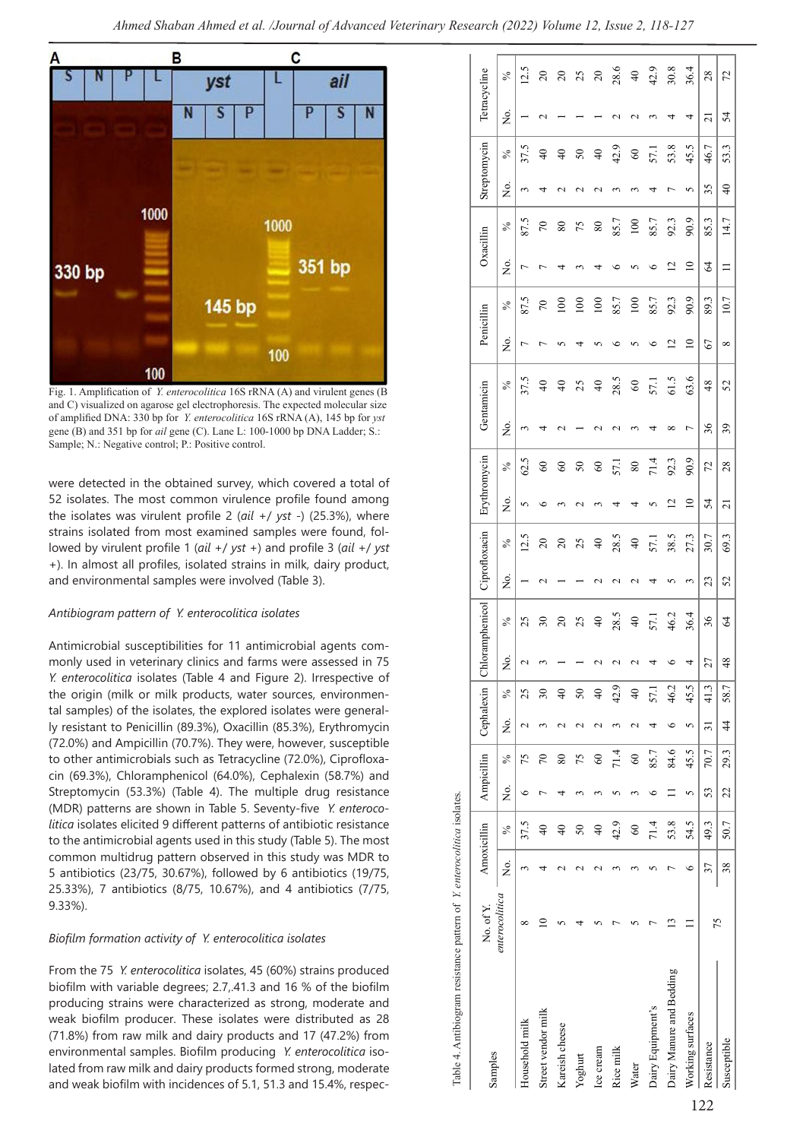

Fig. 1. Amplification of *Y. enterocolitica* 16S rRNA (A) and virulent genes (B and C) visualized on agarose gel electrophoresis. The expected molecular size of amplified DNA: 330 bp for *Y. enterocolitica* 16S rRNA (A), 145 bp for *yst* gene (B) and 351 bp for *ail* gene (C). Lane L: 100-1000 bp DNA Ladder; S.: Sample; N.: Negative control; P.: Positive control.

were detected in the obtained survey, which covered a total of 52 isolates. The most common virulence profile found among the isolates was virulent profile 2 (*ail* +/ *yst* -) (25.3%), where strains isolated from most examined samples were found, followed by virulent profile 1 (*ail* +/ *yst* +) and profile 3 (*ail* +/ *yst* +). In almost all profiles, isolated strains in milk, dairy product, and environmental samples were involved (Table 3).

#### *Antibiogram pattern of Y. enterocolitica isolates*

Antimicrobial susceptibilities for 11 antimicrobial agents commonly used in veterinary clinics and farms were assessed in 75 *Y. enterocolitica* isolates (Table 4 and Figure 2). Irrespective of the origin (milk or milk products, water sources, environmental samples) of the isolates, the explored isolates were generally resistant to Penicillin (89.3%), Oxacillin (85.3%), Erythromycin (72.0%) and Ampicillin (70.7%). They were, however, susceptible to other antimicrobials such as Tetracycline (72.0%), Ciprofloxacin (69.3%), Chloramphenicol (64.0%), Cephalexin (58.7%) and Streptomycin (53.3%) (Table 4). The multiple drug resistance (MDR) patterns are shown in Table 5. Seventy-five *Y. enterocolitica* isolates elicited 9 different patterns of antibiotic resistance to the antimicrobial agents used in this study (Table 5). The most common multidrug pattern observed in this study was MDR to 5 antibiotics (23/75, 30.67%), followed by 6 antibiotics (19/75, 25.33%), 7 antibiotics (8/75, 10.67%), and 4 antibiotics (7/75, 9.33%).

### *Biofilm formation activity of Y. enterocolitica isolates*

From the 75 *Y. enterocolitica* isolates, 45 (60%) strains produced biofilm with variable degrees; 2.7,.41.3 and 16 % of the biofilm producing strains were characterized as strong, moderate and weak biofilm producer. These isolates were distributed as 28 (71.8%) from raw milk and dairy products and 17 (47.2%) from environmental samples. Biofilm producing *Y. enterocolitica* isolated from raw milk and dairy products formed strong, moderate and weak biofilm with incidences of 5.1, 51.3 and 15.4%, respec-

| Table 4. Antibiogram resistance pattern of Y. enterocolitica isolates. |                |    |                 |          |               |                    |                 |                            |                 |                    |                 |                    |                            |                    |                     |              |           |                 |            |                    |                      |                 |                 |
|------------------------------------------------------------------------|----------------|----|-----------------|----------|---------------|--------------------|-----------------|----------------------------|-----------------|--------------------|-----------------|--------------------|----------------------------|--------------------|---------------------|--------------|-----------|-----------------|------------|--------------------|----------------------|-----------------|-----------------|
| Samples                                                                | No. of Y.      |    | Amoxicillin     |          | Ampicillin    |                    |                 | Cephalexin Chloramphenicol |                 | Ciprofloxacin      |                 | Erythromycin       |                            | Gentanicin         |                     | Penicillin   |           | Oxacillin       |            | Streptomycin       |                      | Tetracycline    |                 |
|                                                                        | enterocolitica | Σó | $\frac{5}{6}$   | Σó,      | $\frac{6}{6}$ | ż.                 | ℅               | Σó,                        | $\frac{5}{6}$   | ,<br>Ž             | $\%$            | ,<br>Ž             | $\%$                       | ż.                 | $\%$                | ż.           | $\%$      | ż.              | ℅          | ż.                 | $\frac{1}{\sqrt{6}}$ | ż.              | $\%$            |
| Household milk                                                         | ∞              |    | 37.5            | $\circ$  | 75            | $\mathbf{\sim}$    | 25              |                            | 25              |                    | 12.5            |                    | 62.5                       | $\sim$             | 37.5                | Γ            | 87.5      | Γ               | 87.5       | 3                  | 37.5                 |                 | 12.5            |
| Street vendor milk                                                     | $\supseteq$    |    | $\frac{1}{4}$   |          | $\sqrt{2}$    | 3                  | $\mathfrak{L}$  |                            | $30\,$          | $\mathbf{\sim}$    | $20\,$          | $\circ$            | 60                         | 4                  | $\Theta$            | Γ            | $\approx$ |                 | $\sqrt{2}$ | 4                  | $\frac{4}{\sqrt{2}}$ | $\mathbf{\sim}$ | $\overline{c}$  |
| Kareish cheese                                                         |                |    | $\frac{1}{4}$   | 4        | 80            | 2                  | $\frac{1}{4}$   |                            | $\approx$       |                    | $\overline{c}$  | 3                  | $\infty$                   |                    | $\Theta$            |              | 100       |                 | $80\,$     | $\scriptstyle\sim$ | $\overline{4}$       |                 | $\overline{20}$ |
| Yoghurt                                                                |                |    | 50              |          | 75            | $\mathcal{L}$      | 50              |                            | 25              |                    | 25              | $\scriptstyle\sim$ | 50                         |                    | 25                  | 4            | 100       |                 | 75         | $\scriptstyle\sim$ | 50                   |                 | 25              |
| Ice cream                                                              |                |    | $\overline{40}$ |          | $60\,$        | $\scriptstyle\sim$ | $\overline{40}$ |                            | $\overline{40}$ | $\scriptstyle\sim$ | $\overline{4}$  |                    | $\boldsymbol{\mathcal{S}}$ |                    | $\Theta$            |              | 100       |                 | 80         | $\scriptstyle\sim$ | $\overline{40}$      |                 | $\overline{20}$ |
| Rice milk                                                              |                |    | 42.9            | 5        | 71.4          | 3                  | 42.9            |                            | 28.5            | 2                  | 28.5            |                    | 57.1                       | $\scriptstyle\sim$ | 28.5                | ৩            | 85.7      | ৩               | 85.7       | 3                  | 42.9                 |                 |                 |
| Water                                                                  |                |    | $60\,$          |          | $\degree$     | N                  | $\frac{1}{2}$   |                            | $\overline{4}$  | $\sim$             | $\overline{40}$ | 4                  | $\rm 80$                   |                    | $\pmb{\mathcal{S}}$ |              | 100       |                 | 100        | 3                  | $\mbox{6}$           | $\sim$          | 28.6<br>40      |
| Dairy Equipment's                                                      |                |    | 71.4            | ৩        | 85.7          | 4                  | 57.1            |                            | 57.1            | 4                  | 57.1            | 5                  | 71.4                       | ₹                  | 57.1                | ৩            | 85.7      | ७               | 85.7       | 4                  | 57.1                 |                 | 42.9            |
| Dairy Manure and Bedding                                               | $\mathbf{r}$   |    | 53.8            | $\equiv$ | 84.6          | ७                  | 46.2            |                            | 46.2            | 5                  | 38.5            | $\overline{c}$     | 92.3                       | ∞                  | 61.5                | 2            | 92.3      | $\overline{c}$  | 92.3       | Γ                  | 53.8                 | 4               | 30.8            |
| Working surfaces                                                       |                | ∘  | 54.5            | 5        | 45.5          | 5                  | 45.5            |                            | 36.4            | 3                  | 27.3            | $\overline{10}$    | 90.9                       | $\overline{ }$     | 63.6                | $\supseteq$  | 90.9      | $\overline{10}$ | 90.9       | 5                  | 45.5                 | 4               | 36.4            |
| Resistance                                                             | 75             | 37 | 49.3            | 53       | 70.7          | $\overline{31}$    | 41.3            | 27                         | 36              | 23                 | 30.7            | 54                 | 72                         | 36                 | $\frac{8}{3}$       | 67           | 89.3      | 2               | 85.3       | 35                 | 46.7                 | $\overline{z}$  | 28              |
| Susceptible                                                            |                | 38 | 50.7            | 22       | 29.3          | $rac{4}{4}$        | 58.7            | 48                         | 64              | 52                 | 69.3            | $\overline{21}$    | 28                         | 39                 | 52                  | ${}^{\circ}$ | 10.7      | $\Box$          | 14.7       | $\overline{40}$    | 53.3                 | 24              | 72              |

Table 4. Antibiogram resistance pattern of *Y. enterocolitica* isolates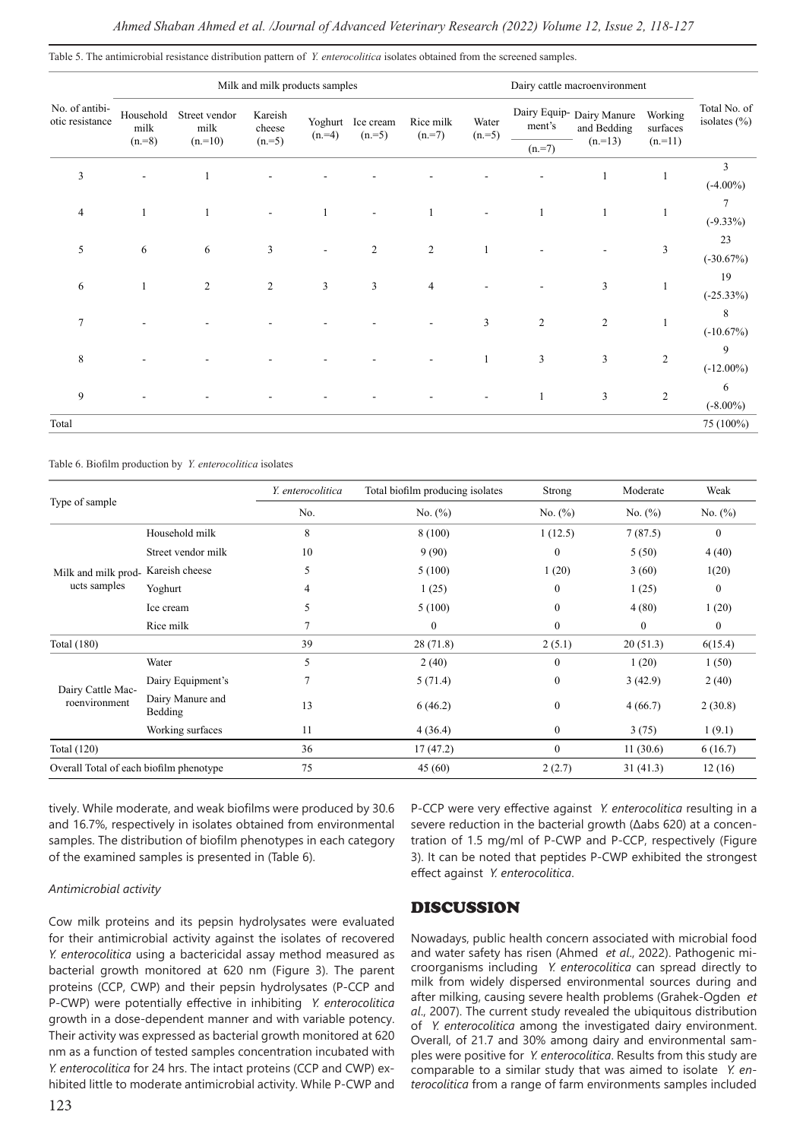Table 5. The antimicrobial resistance distribution pattern of *Y. enterocolitica* isolates obtained from the screened samples.

|                                   |                   |                                   | Milk and milk products samples |                    |                      |                      |                  | Dairy cattle macroenvironment |                                          |                     |                                  |  |  |
|-----------------------------------|-------------------|-----------------------------------|--------------------------------|--------------------|----------------------|----------------------|------------------|-------------------------------|------------------------------------------|---------------------|----------------------------------|--|--|
| No. of antibi-<br>otic resistance | Household<br>milk | Street vendor<br>milk<br>$(n=10)$ | Kareish<br>cheese              | Yoghurt<br>$(n=4)$ | Ice cream<br>$(n=5)$ | Rice milk<br>$(n=7)$ | Water<br>$(n=5)$ | ment's                        | Dairy Equip- Dairy Manure<br>and Bedding | Working<br>surfaces | Total No. of<br>isolates $(\% )$ |  |  |
|                                   | $(n=8)$           |                                   | $(n=5)$                        |                    |                      |                      |                  | $(n=7)$                       | $(n=13)$                                 | $(n=11)$            |                                  |  |  |
| 3                                 |                   |                                   |                                |                    |                      |                      |                  |                               | $\mathbf{1}$                             |                     | 3                                |  |  |
|                                   |                   |                                   |                                |                    |                      |                      |                  |                               |                                          |                     | $(-4.00\%)$                      |  |  |
| 4                                 |                   |                                   |                                |                    |                      |                      |                  |                               | 1                                        |                     | 7                                |  |  |
|                                   |                   |                                   |                                |                    |                      |                      |                  |                               |                                          |                     | $(-9.33\%)$                      |  |  |
| 5                                 | 6                 | 6                                 | $\mathfrak{Z}$                 |                    | $\sqrt{2}$           | $\sqrt{2}$           | $\mathbf{1}$     |                               |                                          | 3                   | 23                               |  |  |
|                                   |                   |                                   |                                |                    |                      |                      |                  |                               |                                          |                     | $(-30.67%)$                      |  |  |
| 6                                 |                   | $\mathfrak{2}$                    | 2                              | 3                  | $\mathfrak{Z}$       | $\overline{4}$       |                  |                               | 3                                        |                     | 19                               |  |  |
|                                   |                   |                                   |                                |                    |                      |                      |                  |                               |                                          |                     | $(-25.33\%)$                     |  |  |
| $\overline{7}$                    |                   |                                   |                                |                    |                      |                      | 3                | $\overline{2}$                | $\overline{2}$                           |                     | 8                                |  |  |
|                                   |                   |                                   |                                |                    |                      |                      |                  |                               |                                          |                     | $(-10.67%)$                      |  |  |
| 8                                 |                   |                                   |                                |                    |                      |                      |                  | 3                             | $\mathfrak{Z}$                           | $\mathfrak{2}$      | 9                                |  |  |
|                                   |                   |                                   |                                |                    |                      |                      |                  |                               |                                          |                     | $(-12.00\%)$                     |  |  |
| 9                                 |                   |                                   |                                |                    |                      |                      |                  |                               | 3                                        | $\mathfrak{2}$      | 6                                |  |  |
|                                   |                   |                                   |                                |                    |                      |                      |                  |                               |                                          |                     | $(-8.00\%)$                      |  |  |
| Total                             |                   |                                   |                                |                    |                      |                      |                  |                               |                                          |                     | 75 (100%)                        |  |  |

Table 6. Biofilm production by *Y. enterocolitica* isolates

|                                         |                             | Y. enterocolitica | Total biofilm producing isolates | Strong           | Moderate   | Weak             |
|-----------------------------------------|-----------------------------|-------------------|----------------------------------|------------------|------------|------------------|
| Type of sample                          |                             | No.               | No. $(\%)$                       | No. $(\%)$       | No. $(\%)$ | No. $(\%)$       |
|                                         | Household milk              | 8                 | 8 (100)                          | 1(12.5)          | 7(87.5)    | $\mathbf{0}$     |
|                                         | Street vendor milk          | 10                | 9(90)                            | $\mathbf{0}$     | 5(50)      | 4(40)            |
| Milk and milk prod- Kareish cheese      |                             | 5                 | 5(100)                           | 1(20)            | 3(60)      | 1(20)            |
| ucts samples                            | Yoghurt                     | 4                 | 1(25)                            | $\boldsymbol{0}$ | 1(25)      | $\boldsymbol{0}$ |
|                                         | Ice cream                   | 5                 | 5(100)                           | $\mathbf{0}$     | 4(80)      | 1(20)            |
|                                         | Rice milk                   | 7                 | $\mathbf{0}$                     | $\mathbf{0}$     | $\theta$   | $\mathbf{0}$     |
| <b>Total</b> (180)                      |                             | 39                | 28(71.8)                         | 2(5.1)           | 20(51.3)   | 6(15.4)          |
|                                         | Water                       | 5                 | 2(40)                            | $\mathbf{0}$     | 1(20)      | 1(50)            |
|                                         | Dairy Equipment's           | 7                 | 5(71.4)                          | $\mathbf{0}$     | 3(42.9)    | 2(40)            |
| Dairy Cattle Mac-<br>roenvironment      | Dairy Manure and<br>Bedding | 13                | 6(46.2)                          | $\mathbf{0}$     | 4(66.7)    | 2(30.8)          |
|                                         | Working surfaces            | 11                | 4(36.4)                          | $\boldsymbol{0}$ | 3(75)      | 1(9.1)           |
| Total (120)                             |                             | 36                | 17(47.2)                         | $\mathbf{0}$     | 11(30.6)   | 6(16.7)          |
| Overall Total of each biofilm phenotype |                             | 75                | 45(60)                           | 2(2.7)           | 31 (41.3)  | 12(16)           |

tively. While moderate, and weak biofilms were produced by 30.6 and 16.7%, respectively in isolates obtained from environmental samples. The distribution of biofilm phenotypes in each category of the examined samples is presented in (Table 6).

#### *Antimicrobial activity*

Cow milk proteins and its pepsin hydrolysates were evaluated for their antimicrobial activity against the isolates of recovered *Y. enterocolitica* using a bactericidal assay method measured as bacterial growth monitored at 620 nm (Figure 3). The parent proteins (CCP, CWP) and their pepsin hydrolysates (P-CCP and P-CWP) were potentially effective in inhibiting *Y. enterocolitica* growth in a dose-dependent manner and with variable potency. Their activity was expressed as bacterial growth monitored at 620 nm as a function of tested samples concentration incubated with *Y. enterocolitica* for 24 hrs. The intact proteins (CCP and CWP) exhibited little to moderate antimicrobial activity. While P-CWP and

P-CCP were very effective against *Y. enterocolitica* resulting in a severe reduction in the bacterial growth (Δabs 620) at a concentration of 1.5 mg/ml of P-CWP and P-CCP, respectively (Figure 3). It can be noted that peptides P-CWP exhibited the strongest effect against *Y. enterocolitica*.

### DISCUSSION

Nowadays, public health concern associated with microbial food and water safety has risen (Ahmed *et al*., 2022). Pathogenic microorganisms including *Y. enterocolitica* can spread directly to milk from widely dispersed environmental sources during and after milking, causing severe health problems (Grahek-Ogden *et al*., 2007). The current study revealed the ubiquitous distribution of *Y. enterocolitica* among the investigated dairy environment. Overall, of 21.7 and 30% among dairy and environmental samples were positive for *Y. enterocolitica*. Results from this study are comparable to a similar study that was aimed to isolate *Y. enterocolitica* from a range of farm environments samples included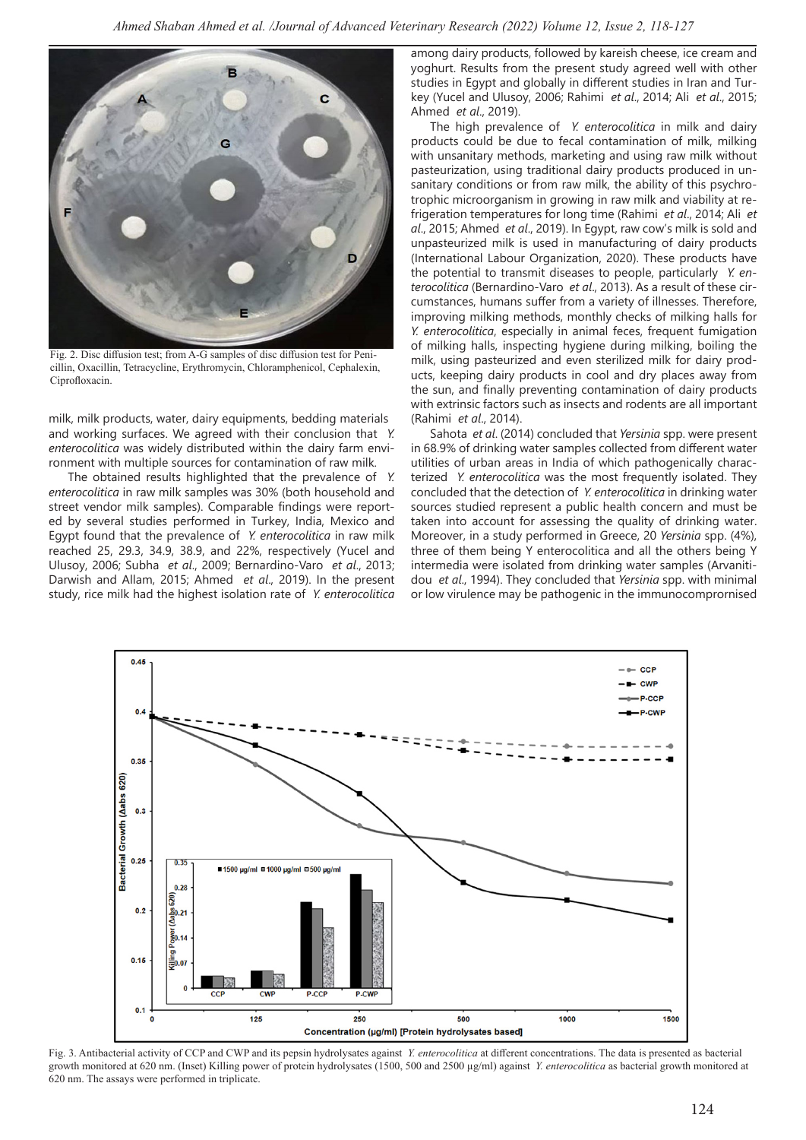

Fig. 2. Disc diffusion test; from A-G samples of disc diffusion test for Penicillin, Oxacillin, Tetracycline, Erythromycin, Chloramphenicol, Cephalexin, Ciprofloxacin.

milk, milk products, water, dairy equipments, bedding materials and working surfaces. We agreed with their conclusion that *Y. enterocolitica* was widely distributed within the dairy farm environment with multiple sources for contamination of raw milk.

The obtained results highlighted that the prevalence of *Y. enterocolitica* in raw milk samples was 30% (both household and street vendor milk samples). Comparable findings were reported by several studies performed in Turkey, India, Mexico and Egypt found that the prevalence of *Y. enterocolitica* in raw milk reached 25, 29.3, 34.9, 38.9, and 22%, respectively (Yucel and Ulusoy, 2006; Subha *et al*., 2009; Bernardino-Varo *et al*., 2013; Darwish and Allam, 2015; Ahmed *et al*., 2019). In the present study, rice milk had the highest isolation rate of *Y. enterocolitica*

among dairy products, followed by kareish cheese, ice cream and yoghurt. Results from the present study agreed well with other studies in Egypt and globally in different studies in Iran and Turkey (Yucel and Ulusoy, 2006; Rahimi *et al*., 2014; Ali *et al*., 2015; Ahmed *et al*., 2019).

The high prevalence of *Y. enterocolitica* in milk and dairy products could be due to fecal contamination of milk, milking with unsanitary methods, marketing and using raw milk without pasteurization, using traditional dairy products produced in unsanitary conditions or from raw milk, the ability of this psychrotrophic microorganism in growing in raw milk and viability at refrigeration temperatures for long time (Rahimi *et al*., 2014; Ali *et al*., 2015; Ahmed *et al*., 2019). In Egypt, raw cow's milk is sold and unpasteurized milk is used in manufacturing of dairy products (International Labour Organization, 2020). These products have the potential to transmit diseases to people, particularly *Y. enterocolitica* (Bernardino-Varo *et al*., 2013). As a result of these circumstances, humans suffer from a variety of illnesses. Therefore, improving milking methods, monthly checks of milking halls for *Y. enterocolitica*, especially in animal feces, frequent fumigation of milking halls, inspecting hygiene during milking, boiling the milk, using pasteurized and even sterilized milk for dairy products, keeping dairy products in cool and dry places away from the sun, and finally preventing contamination of dairy products with extrinsic factors such as insects and rodents are all important (Rahimi *et al*., 2014).

Sahota *et al*. (2014) concluded that *Yersinia* spp. were present in 68.9% of drinking water samples collected from different water utilities of urban areas in India of which pathogenically characterized *Y. enterocolitica* was the most frequently isolated. They concluded that the detection of *Y. enterocolitica* in drinking water sources studied represent a public health concern and must be taken into account for assessing the quality of drinking water. Moreover, in a study performed in Greece, 20 *Yersinia* spp. (4%), three of them being Y enterocolitica and all the others being Y intermedia were isolated from drinking water samples (Arvanitidou *et al*., 1994). They concluded that *Yersinia* spp. with minimal or low virulence may be pathogenic in the immunocomprornised



Fig. 3. Antibacterial activity of CCP and CWP and its pepsin hydrolysates against *Y. enterocolitica* at different concentrations. The data is presented as bacterial growth monitored at 620 nm. (Inset) Killing power of protein hydrolysates (1500, 500 and 2500 µg/ml) against *Y. enterocolitica* as bacterial growth monitored at 620 nm. The assays were performed in triplicate.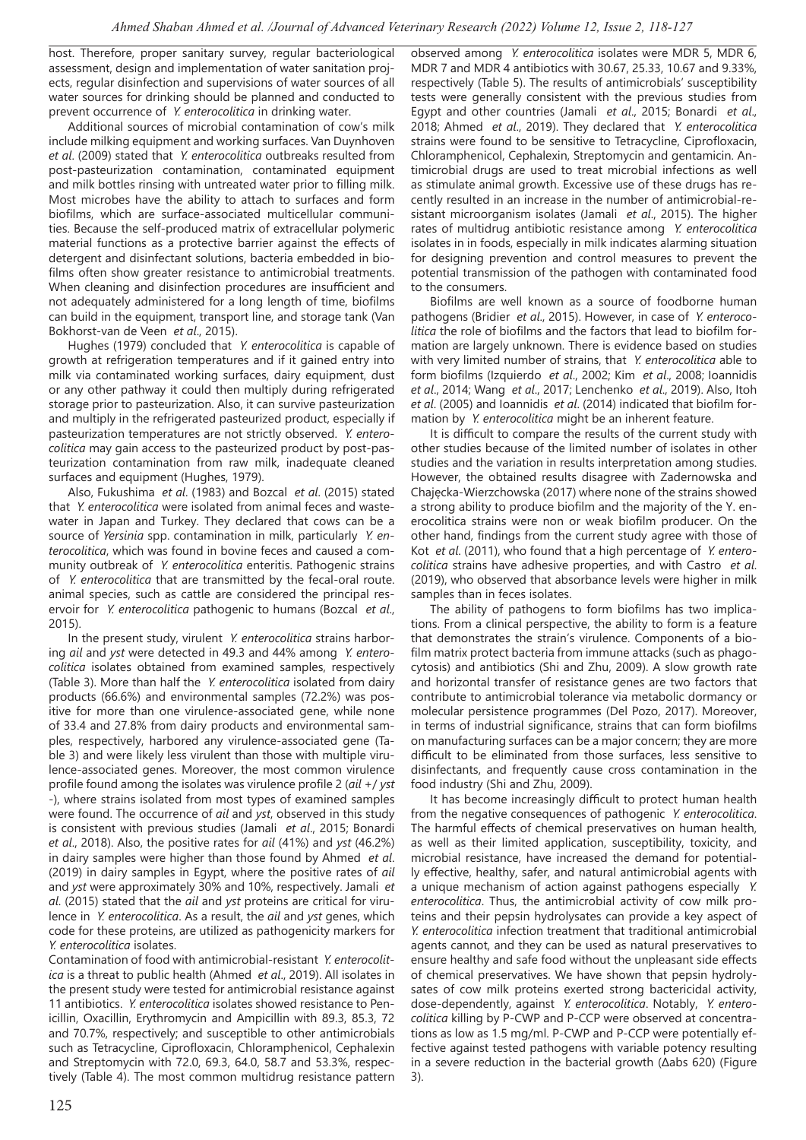host. Therefore, proper sanitary survey, regular bacteriological assessment, design and implementation of water sanitation projects, regular disinfection and supervisions of water sources of all water sources for drinking should be planned and conducted to prevent occurrence of *Y. enterocolitica* in drinking water.

Additional sources of microbial contamination of cow's milk include milking equipment and working surfaces. Van Duynhoven *et al*. (2009) stated that *Y. enterocolitica* outbreaks resulted from post-pasteurization contamination, contaminated equipment and milk bottles rinsing with untreated water prior to filling milk. Most microbes have the ability to attach to surfaces and form biofilms, which are surface-associated multicellular communities. Because the self-produced matrix of extracellular polymeric material functions as a protective barrier against the effects of detergent and disinfectant solutions, bacteria embedded in biofilms often show greater resistance to antimicrobial treatments. When cleaning and disinfection procedures are insufficient and not adequately administered for a long length of time, biofilms can build in the equipment, transport line, and storage tank (Van Bokhorst-van de Veen *et al*., 2015).

Hughes (1979) concluded that *Y. enterocolitica* is capable of growth at refrigeration temperatures and if it gained entry into milk via contaminated working surfaces, dairy equipment, dust or any other pathway it could then multiply during refrigerated storage prior to pasteurization. Also, it can survive pasteurization and multiply in the refrigerated pasteurized product, especially if pasteurization temperatures are not strictly observed. *Y. enterocolitica* may gain access to the pasteurized product by post-pasteurization contamination from raw milk, inadequate cleaned surfaces and equipment (Hughes, 1979).

Also, Fukushima *et al*. (1983) and Bozcal *et al*. (2015) stated that *Y. enterocolitica* were isolated from animal feces and wastewater in Japan and Turkey. They declared that cows can be a source of *Yersinia* spp. contamination in milk, particularly *Y. enterocolitica*, which was found in bovine feces and caused a community outbreak of *Y. enterocolitica* enteritis. Pathogenic strains of *Y. enterocolitica* that are transmitted by the fecal-oral route. animal species, such as cattle are considered the principal reservoir for *Y. enterocolitica* pathogenic to humans (Bozcal *et al*., 2015).

In the present study, virulent *Y. enterocolitica* strains harboring *ail* and *yst* were detected in 49.3 and 44% among *Y. enterocolitica* isolates obtained from examined samples, respectively (Table 3). More than half the *Y. enterocolitica* isolated from dairy products (66.6%) and environmental samples (72.2%) was positive for more than one virulence-associated gene, while none of 33.4 and 27.8% from dairy products and environmental samples, respectively, harbored any virulence-associated gene (Table 3) and were likely less virulent than those with multiple virulence-associated genes. Moreover, the most common virulence profile found among the isolates was virulence profile 2 (*ail* +/ *yst* -), where strains isolated from most types of examined samples were found. The occurrence of *ail* and *yst*, observed in this study is consistent with previous studies (Jamali *et al*., 2015; Bonardi *et al*., 2018). Also, the positive rates for *ail* (41%) and *yst* (46.2%) in dairy samples were higher than those found by Ahmed *et al*. (2019) in dairy samples in Egypt, where the positive rates of *ail* and *yst* were approximately 30% and 10%, respectively. Jamali *et al*. (2015) stated that the *ail* and *yst* proteins are critical for virulence in *Y. enterocolitica*. As a result, the *ail* and *yst* genes, which code for these proteins, are utilized as pathogenicity markers for *Y. enterocolitica* isolates.

Contamination of food with antimicrobial-resistant *Y. enterocolitica* is a threat to public health (Ahmed *et al*., 2019). All isolates in the present study were tested for antimicrobial resistance against 11 antibiotics. *Y. enterocolitica* isolates showed resistance to Penicillin, Oxacillin, Erythromycin and Ampicillin with 89.3, 85.3, 72 and 70.7%, respectively; and susceptible to other antimicrobials such as Tetracycline, Ciprofloxacin, Chloramphenicol, Cephalexin and Streptomycin with 72.0, 69.3, 64.0, 58.7 and 53.3%, respectively (Table 4). The most common multidrug resistance pattern

observed among *Y. enterocolitica* isolates were MDR 5, MDR 6, MDR 7 and MDR 4 antibiotics with 30.67, 25.33, 10.67 and 9.33%, respectively (Table 5). The results of antimicrobials' susceptibility tests were generally consistent with the previous studies from Egypt and other countries (Jamali *et al*., 2015; Bonardi *et al*., 2018; Ahmed *et al*., 2019). They declared that *Y. enterocolitica* strains were found to be sensitive to Tetracycline, Ciprofloxacin, Chloramphenicol, Cephalexin, Streptomycin and gentamicin. Antimicrobial drugs are used to treat microbial infections as well as stimulate animal growth. Excessive use of these drugs has recently resulted in an increase in the number of antimicrobial-resistant microorganism isolates (Jamali *et al*., 2015). The higher rates of multidrug antibiotic resistance among *Y. enterocolitica* isolates in in foods, especially in milk indicates alarming situation for designing prevention and control measures to prevent the potential transmission of the pathogen with contaminated food to the consumers.

Biofilms are well known as a source of foodborne human pathogens (Bridier *et al*., 2015). However, in case of *Y. enterocolitica* the role of biofilms and the factors that lead to biofilm formation are largely unknown. There is evidence based on studies with very limited number of strains, that *Y. enterocolitica* able to form biofilms (Izquierdo *et al*., 2002; Kim *et al*., 2008; Ioannidis *et al*., 2014; Wang *et al*., 2017; Lenchenko *et al*., 2019). Also, Itoh *et al*. (2005) and Ioannidis *et al*. (2014) indicated that biofilm formation by *Y. enterocolitica* might be an inherent feature.

It is difficult to compare the results of the current study with other studies because of the limited number of isolates in other studies and the variation in results interpretation among studies. However, the obtained results disagree with Zadernowska and Chajęcka-Wierzchowska (2017) where none of the strains showed a strong ability to produce biofilm and the majority of the Y. enerocolitica strains were non or weak biofilm producer. On the other hand, findings from the current study agree with those of Kot *et al*. (2011), who found that a high percentage of *Y. enterocolitica* strains have adhesive properties, and with Castro *et al*. (2019), who observed that absorbance levels were higher in milk samples than in feces isolates.

The ability of pathogens to form biofilms has two implications. From a clinical perspective, the ability to form is a feature that demonstrates the strain's virulence. Components of a biofilm matrix protect bacteria from immune attacks (such as phagocytosis) and antibiotics (Shi and Zhu, 2009). A slow growth rate and horizontal transfer of resistance genes are two factors that contribute to antimicrobial tolerance via metabolic dormancy or molecular persistence programmes (Del Pozo, 2017). Moreover, in terms of industrial significance, strains that can form biofilms on manufacturing surfaces can be a major concern; they are more difficult to be eliminated from those surfaces, less sensitive to disinfectants, and frequently cause cross contamination in the food industry (Shi and Zhu, 2009).

It has become increasingly difficult to protect human health from the negative consequences of pathogenic *Y. enterocolitica*. The harmful effects of chemical preservatives on human health, as well as their limited application, susceptibility, toxicity, and microbial resistance, have increased the demand for potentially effective, healthy, safer, and natural antimicrobial agents with a unique mechanism of action against pathogens especially *Y. enterocolitica*. Thus, the antimicrobial activity of cow milk proteins and their pepsin hydrolysates can provide a key aspect of *Y. enterocolitica* infection treatment that traditional antimicrobial agents cannot, and they can be used as natural preservatives to ensure healthy and safe food without the unpleasant side effects of chemical preservatives. We have shown that pepsin hydrolysates of cow milk proteins exerted strong bactericidal activity, dose-dependently, against *Y. enterocolitica*. Notably, *Y. enterocolitica* killing by P-CWP and P-CCP were observed at concentrations as low as 1.5 mg/ml. P-CWP and P-CCP were potentially effective against tested pathogens with variable potency resulting in a severe reduction in the bacterial growth (Δabs 620) (Figure 3).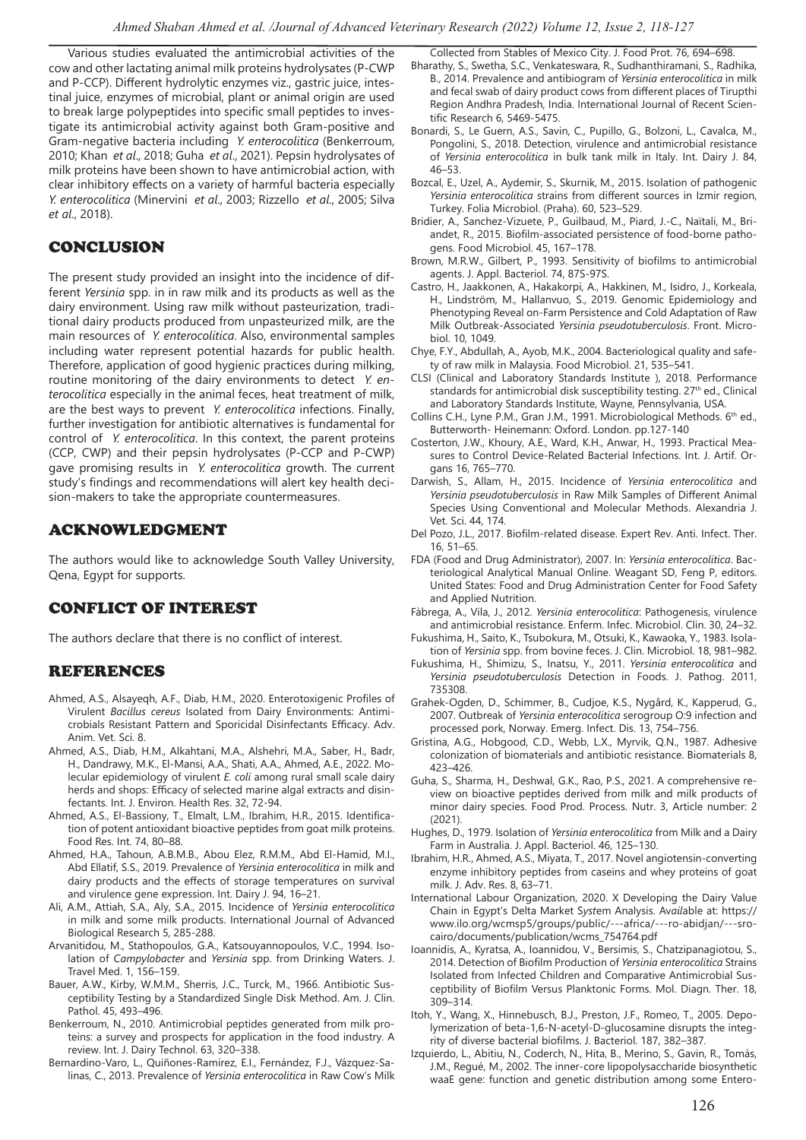Various studies evaluated the antimicrobial activities of the cow and other lactating animal milk proteins hydrolysates (P-CWP and P-CCP). Different hydrolytic enzymes viz., gastric juice, intestinal juice, enzymes of microbial, plant or animal origin are used to break large polypeptides into specific small peptides to investigate its antimicrobial activity against both Gram-positive and Gram-negative bacteria including *Y. enterocolitica* (Benkerroum, 2010; Khan *et al*., 2018; Guha *et al*., 2021). Pepsin hydrolysates of milk proteins have been shown to have antimicrobial action, with clear inhibitory effects on a variety of harmful bacteria especially *Y. enterocolitica* (Minervini *et al*., 2003; Rizzello *et al*., 2005; Silva *et al*., 2018).

# CONCLUSION

The present study provided an insight into the incidence of different *Yersinia* spp. in in raw milk and its products as well as the dairy environment. Using raw milk without pasteurization, traditional dairy products produced from unpasteurized milk, are the main resources of *Y. enterocolitica*. Also, environmental samples including water represent potential hazards for public health. Therefore, application of good hygienic practices during milking, routine monitoring of the dairy environments to detect *Y. enterocolitica* especially in the animal feces, heat treatment of milk, are the best ways to prevent *Y. enterocolitica* infections. Finally, further investigation for antibiotic alternatives is fundamental for control of *Y. enterocolitica*. In this context, the parent proteins (CCP, CWP) and their pepsin hydrolysates (P-CCP and P-CWP) gave promising results in *Y. enterocolitica* growth. The current study's findings and recommendations will alert key health decision-makers to take the appropriate countermeasures.

## ACKNOWLEDGMENT

The authors would like to acknowledge South Valley University, Qena, Egypt for supports.

# CONFLICT OF INTEREST

The authors declare that there is no conflict of interest.

# REFERENCES

- Ahmed, A.S., Alsayeqh, A.F., Diab, H.M., 2020. Enterotoxigenic Profiles of Virulent *Bacillus cereus* Isolated from Dairy Environments: Antimicrobials Resistant Pattern and Sporicidal Disinfectants Efficacy. Adv. Anim. Vet. Sci. 8.
- Ahmed, A.S., Diab, H.M., Alkahtani, M.A., Alshehri, M.A., Saber, H., Badr, H., Dandrawy, M.K., El-Mansi, A.A., Shati, A.A., Ahmed, A.E., 2022. Molecular epidemiology of virulent *E. coli* among rural small scale dairy herds and shops: Efficacy of selected marine algal extracts and disinfectants. Int. J. Environ. Health Res. 32, 72-94.
- Ahmed, A.S., El-Bassiony, T., Elmalt, L.M., Ibrahim, H.R., 2015. Identification of potent antioxidant bioactive peptides from goat milk proteins. Food Res. Int. 74, 80–88.
- Ahmed, H.A., Tahoun, A.B.M.B., Abou Elez, R.M.M., Abd El-Hamid, M.I., Abd Ellatif, S.S., 2019. Prevalence of *Yersinia enterocolitica* in milk and dairy products and the effects of storage temperatures on survival and virulence gene expression. Int. Dairy J. 94, 16–21.
- Ali, A.M., Attiah, S.A., Aly, S.A., 2015. Incidence of *Yersinia enterocolitica* in milk and some milk products. International Journal of Advanced Biological Research 5, 285-288.
- Arvanitidou, M., Stathopoulos, G.A., Katsouyannopoulos, V.C., 1994. Isolation of *Campylobacter* and *Yersinia* spp. from Drinking Waters. J. Travel Med. 1, 156–159.
- Bauer, A.W., Kirby, W.M.M., Sherris, J.C., Turck, M., 1966. Antibiotic Susceptibility Testing by a Standardized Single Disk Method. Am. J. Clin. Pathol. 45, 493–496.
- Benkerroum, N., 2010. Antimicrobial peptides generated from milk proteins: a survey and prospects for application in the food industry. A review. Int. J. Dairy Technol. 63, 320–338.
- Bernardino-Varo, L., Quiñones-Ramírez, E.I., Fernández, F.J., Vázquez-Salinas, C., 2013. Prevalence of *Yersinia enterocolitica* in Raw Cow's Milk

Collected from Stables of Mexico City. J. Food Prot. 76, 694–698.

- Bharathy, S., Swetha, S.C., Venkateswara, R., Sudhanthiramani, S., Radhika, B., 2014. Prevalence and antibiogram of *Yersinia enterocolitica* in milk and fecal swab of dairy product cows from different places of Tirupthi Region Andhra Pradesh, India. International Journal of Recent Scientific Research 6, 5469-5475.
- Bonardi, S., Le Guern, A.S., Savin, C., Pupillo, G., Bolzoni, L., Cavalca, M., Pongolini, S., 2018. Detection, virulence and antimicrobial resistance of *Yersinia enterocolitica* in bulk tank milk in Italy. Int. Dairy J. 84, 46–53.
- Bozcal, E., Uzel, A., Aydemir, S., Skurnik, M., 2015. Isolation of pathogenic *Yersinia enterocolitica* strains from different sources in Izmir region, Turkey. Folia Microbiol. (Praha). 60, 523–529.
- Bridier, A., Sanchez-Vizuete, P., Guilbaud, M., Piard, J.-C., Naïtali, M., Briandet, R., 2015. Biofilm-associated persistence of food-borne pathogens. Food Microbiol. 45, 167–178.
- Brown, M.R.W., Gilbert, P., 1993. Sensitivity of biofilms to antimicrobial agents. J. Appl. Bacteriol. 74, 87S-97S.
- Castro, H., Jaakkonen, A., Hakakorpi, A., Hakkinen, M., Isidro, J., Korkeala, H., Lindström, M., Hallanvuo, S., 2019. Genomic Epidemiology and Phenotyping Reveal on-Farm Persistence and Cold Adaptation of Raw Milk Outbreak-Associated *Yersinia pseudotuberculosis*. Front. Microbiol. 10, 1049.
- Chye, F.Y., Abdullah, A., Ayob, M.K., 2004. Bacteriological quality and safety of raw milk in Malaysia. Food Microbiol. 21, 535–541.
- CLSI (Clinical and Laboratory Standards Institute ), 2018. Performance standards for antimicrobial disk susceptibility testing. 27<sup>th</sup> ed., Clinical and Laboratory Standards Institute, Wayne, Pennsylvania, USA.
- Collins C.H., Lyne P.M., Gran J.M., 1991. Microbiological Methods. 6<sup>th</sup> ed., Butterworth- Heinemann: Oxford. London. pp.127-140
- Costerton, J.W., Khoury, A.E., Ward, K.H., Anwar, H., 1993. Practical Measures to Control Device-Related Bacterial Infections. Int. J. Artif. Organs 16, 765–770.
- Darwish, S., Allam, H., 2015. Incidence of *Yersinia enterocolitica* and *Yersinia pseudotuberculosis* in Raw Milk Samples of Different Animal Species Using Conventional and Molecular Methods. Alexandria J. Vet. Sci. 44, 174.
- Del Pozo, J.L., 2017. Biofilm-related disease. Expert Rev. Anti. Infect. Ther. 16, 51–65.
- FDA (Food and Drug Administrator), 2007. In: *Yersinia enterocolitica*. Bacteriological Analytical Manual Online. Weagant SD, Feng P, editors. United States: Food and Drug Administration Center for Food Safety and Applied Nutrition.
- Fàbrega, A., Vila, J., 2012. *Yersinia enterocolitica*: Pathogenesis, virulence and antimicrobial resistance. Enferm. Infec. Microbiol. Clin. 30, 24–32.
- Fukushima, H., Saito, K., Tsubokura, M., Otsuki, K., Kawaoka, Y., 1983. Isolation of *Yersinia* spp. from bovine feces. J. Clin. Microbiol. 18, 981–982.
- Fukushima, H., Shimizu, S., Inatsu, Y., 2011. *Yersinia enterocolitica* and *Yersinia pseudotuberculosis* Detection in Foods. J. Pathog. 2011, 735308.
- Grahek-Ogden, D., Schimmer, B., Cudjoe, K.S., Nygård, K., Kapperud, G., 2007. Outbreak of *Yersinia enterocolitica* serogroup O:9 infection and processed pork, Norway. Emerg. Infect. Dis. 13, 754–756.
- Gristina, A.G., Hobgood, C.D., Webb, L.X., Myrvik, Q.N., 1987. Adhesive colonization of biomaterials and antibiotic resistance. Biomaterials 8, 423–426.
- Guha, S., Sharma, H., Deshwal, G.K., Rao, P.S., 2021. A comprehensive review on bioactive peptides derived from milk and milk products of minor dairy species. Food Prod. Process. Nutr. 3, Article number: 2 (2021).
- Hughes, D., 1979. Isolation of *Yersinia enterocolitica* from Milk and a Dairy Farm in Australia. J. Appl. Bacteriol. 46, 125–130.
- Ibrahim, H.R., Ahmed, A.S., Miyata, T., 2017. Novel angiotensin-converting enzyme inhibitory peptides from caseins and whey proteins of goat milk. J. Adv. Res. 8, 63–71.
- International Labour Organization, 2020. X Developing the Dairy Value Chain in Egypt's Delta Market S*yst*em Analysis. Av*ail*able at: https:// www.ilo.org/wcmsp5/groups/public/---africa/---ro-abidjan/---srocairo/documents/publication/wcms\_754764.pdf
- Ioannidis, A., Kyratsa, A., Ioannidou, V., Bersimis, S., Chatzipanagiotou, S., 2014. Detection of Biofilm Production of *Yersinia enterocolitica* Strains Isolated from Infected Children and Comparative Antimicrobial Susceptibility of Biofilm Versus Planktonic Forms. Mol. Diagn. Ther. 18, 309–314.
- Itoh, Y., Wang, X., Hinnebusch, B.J., Preston, J.F., Romeo, T., 2005. Depolymerization of beta-1,6-N-acetyl-D-glucosamine disrupts the integrity of diverse bacterial biofilms. J. Bacteriol. 187, 382–387.
- Izquierdo, L., Abitiu, N., Coderch, N., Hita, B., Merino, S., Gavin, R., Tomás, J.M., Regué, M., 2002. The inner-core lipopolysaccharide biosynthetic waaE gene: function and genetic distribution among some Entero-